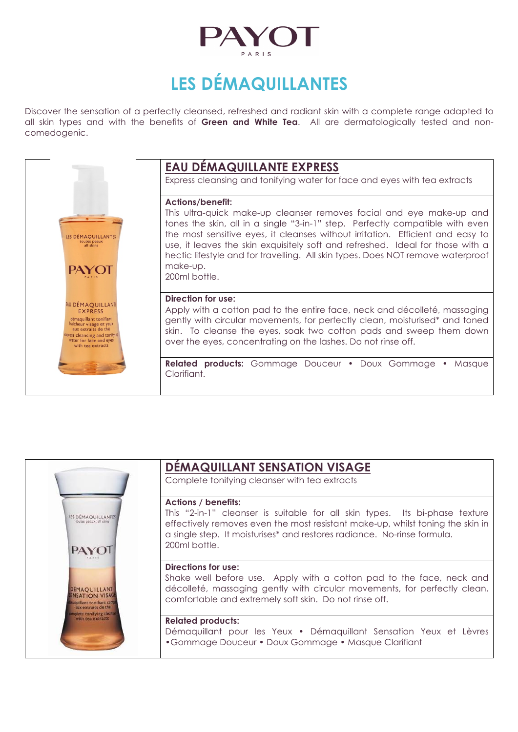

# **LES DÉMAQUILLANTES**

Discover the sensation of a perfectly cleansed, refreshed and radiant skin with a complete range adapted to all skin types and with the benefits of **Green and White Tea**. All are dermatologically tested and noncomedogenic.



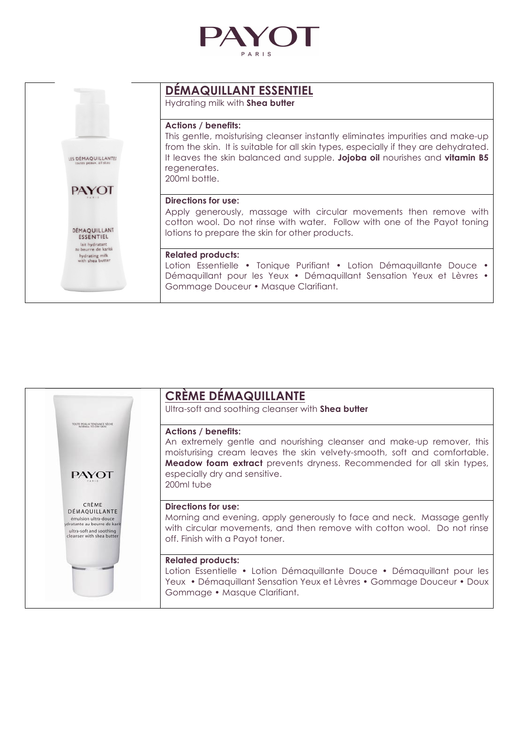

|                                                                                                                                                                                             | <b>DEMAQUILLANT ESSENTIEL</b><br>Hydrating milk with Shea butter                                                                                                                                                                                                                                                     |
|---------------------------------------------------------------------------------------------------------------------------------------------------------------------------------------------|----------------------------------------------------------------------------------------------------------------------------------------------------------------------------------------------------------------------------------------------------------------------------------------------------------------------|
| <b>IFS DEMAQUILLANTES</b><br>toutes peaux, all ski<br>PAYO<br><b><i>DEMAQUILLANT</i></b><br><b>ESSENTIEL</b><br>lait hydratant<br>au beurre de karité<br>hydrating milk<br>with shea butter | <b>Actions / benefits:</b><br>This gentle, moisturising cleanser instantly eliminates impurities and make-up<br>from the skin. It is suitable for all skin types, especially if they are dehydrated.<br>It leaves the skin balanced and supple. Jojoba oil nourishes and vitamin B5<br>regenerates.<br>200ml bottle. |
|                                                                                                                                                                                             | Directions for use:<br>Apply generously, massage with circular movements then remove with<br>cotton wool. Do not rinse with water. Follow with one of the Payot toning<br>lotions to prepare the skin for other products.                                                                                            |
|                                                                                                                                                                                             | <b>Related products:</b><br>Lotion Essentielle • Tonique Purifiant • Lotion Démaquillante Douce •<br>Démaquillant pour les Yeux • Démaquillant Sensation Yeux et Lèvres •<br>Gommage Douceur • Masque Clarifiant.                                                                                                    |

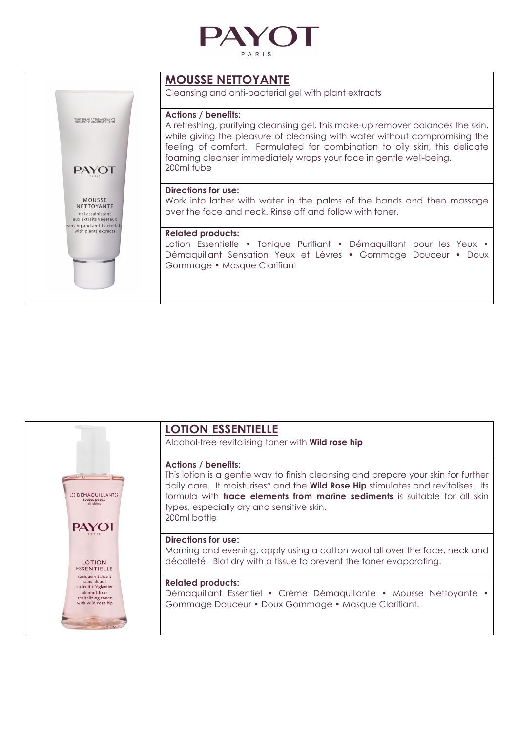



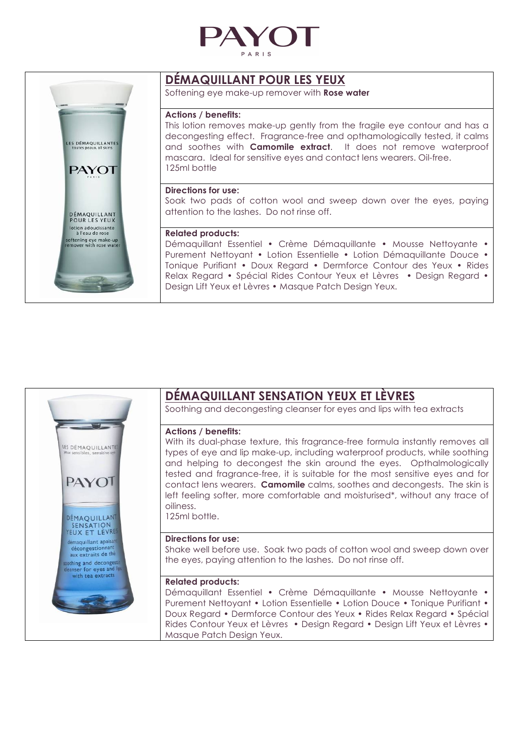



# **DÉMAQUILLANT POUR LES YEUX**

Softening eye make-up remover with **Rose water**

## **Actions / benefits:**

This lotion removes make-up gently from the fragile eye contour and has a decongesting effect. Fragrance-free and opthamologically tested, it calms and soothes with **Camomile extract**. It does not remove waterproof mascara. Ideal for sensitive eyes and contact lens wearers. Oil-free. 125ml bottle

### **Directions for use:**

Soak two pads of cotton wool and sweep down over the eyes, paying attention to the lashes. Do not rinse off.

# **Related products:**

Démaquillant Essentiel • Crème Démaquillante • Mousse Nettoyante • Purement Nettoyant • Lotion Essentielle • Lotion Démaquillante Douce • Tonique Purifiant • Doux Regard • Dermforce Contour des Yeux • Rides Relax Regard • Spécial Rides Contour Yeux et Lèvres • Design Regard • Design Lift Yeux et Lèvres • Masque Patch Design Yeux.